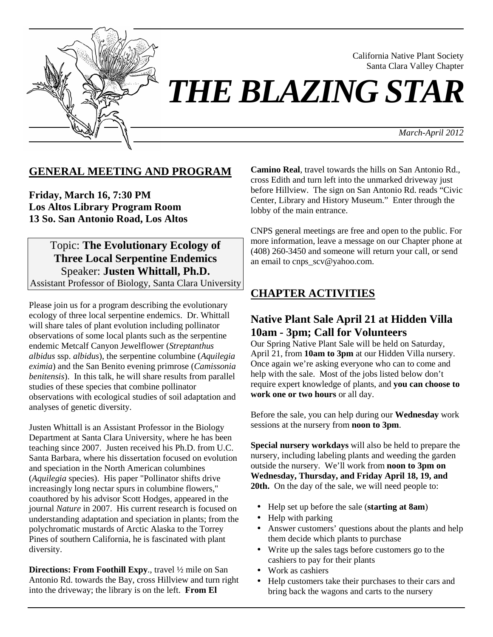

California Native Plant Society Santa Clara Valley Chapter

# *THE BLAZING STAR*

*March-April 2012*

# **GENERAL MEETING AND PROGRAM**

**Friday, March 16, 7:30 PM Los Altos Library Program Room 13 So. San Antonio Road, Los Altos**

Topic: **The Evolutionary Ecology of Three Local Serpentine Endemics** Speaker: **Justen Whittall, Ph.D.** Assistant Professor of Biology, Santa Clara University

Please join us for a program describing the evolutionary ecology of three local serpentine endemics. Dr. Whittall will share tales of plant evolution including pollinator observations of some local plants such as the serpentine endemic Metcalf Canyon Jewelflower (*Streptanthus albidus* ssp. *albidus*), the serpentine columbine (*Aquilegia eximia*) and the San Benito evening primrose (*Camissonia benitensis*). In this talk, he will share results from parallel studies of these species that combine pollinator observations with ecological studies of soil adaptation and analyses of genetic diversity.

Justen Whittall is an Assistant Professor in the Biology Department at Santa Clara University, where he has been teaching since 2007. Justen received his Ph.D. from U.C. Santa Barbara, where his dissertation focused on evolution and speciation in the North American columbines (*Aquilegia* species). His paper "Pollinator shifts drive increasingly long nectar spurs in columbine flowers," coauthored by his advisor Scott Hodges, appeared in the journal *Nature* in 2007. His current research is focused on understanding adaptation and speciation in plants; from the polychromatic mustards of Arctic Alaska to the Torrey Pines of southern California, he is fascinated with plant diversity.

**Directions: From Foothill Expy**., travel ½ mile on San Antonio Rd. towards the Bay, cross Hillview and turn right into the driveway; the library is on the left. **From El** 

**Camino Real**, travel towards the hills on San Antonio Rd., cross Edith and turn left into the unmarked driveway just before Hillview. The sign on San Antonio Rd. reads "Civic Center, Library and History Museum." Enter through the lobby of the main entrance.

CNPS general meetings are free and open to the public. For more information, leave a message on our Chapter phone at (408) 260-3450 and someone will return your call, or send an email to cnps\_scv@yahoo.com.

# **CHAPTER ACTIVITIES**

# **Native Plant Sale April 21 at Hidden Villa 10am - 3pm; Call for Volunteers**

Our Spring Native Plant Sale will be held on Saturday, April 21, from **10am to 3pm** at our Hidden Villa nursery. Once again we're asking everyone who can to come and help with the sale. Most of the jobs listed below don't require expert knowledge of plants, and **you can choose to work one or two hours** or all day.

Before the sale, you can help during our **Wednesday** work sessions at the nursery from **noon to 3pm**.

**Special nursery workdays** will also be held to prepare the nursery, including labeling plants and weeding the garden outside the nursery. We'll work from **noon to 3pm on Wednesday, Thursday, and Friday April 18, 19, and 20th.** On the day of the sale, we will need people to:

- Help set up before the sale (**starting at 8am**)
- Help with parking
- Answer customers' questions about the plants and help them decide which plants to purchase
- Write up the sales tags before customers go to the cashiers to pay for their plants
- Work as cashiers
- Help customers take their purchases to their cars and bring back the wagons and carts to the nursery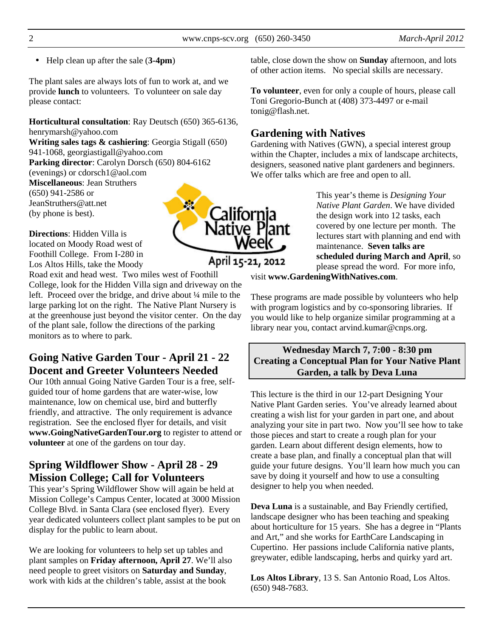• Help clean up after the sale (**3-4pm**)

The plant sales are always lots of fun to work at, and we provide **lunch** to volunteers. To volunteer on sale day please contact:

**Horticultural consultation**: Ray Deutsch (650) 365-6136, henrymarsh@yahoo.com

**Writing sales tags & cashiering**: Georgia Stigall (650) 941-1068, georgiastigall@yahoo.com **Parking director**: Carolyn Dorsch (650) 804-6162

(evenings) or cdorsch1@aol.com

**Miscellaneous**: Jean Struthers (650) 941-2586 or JeanStruthers@att.net (by phone is best).

**Directions**: Hidden Villa is located on Moody Road west of Foothill College. From I-280 in Los Altos Hills, take the Moody

Road exit and head west. Two miles west of Foothill College, look for the Hidden Villa sign and driveway on the left. Proceed over the bridge, and drive about ¼ mile to the large parking lot on the right. The Native Plant Nursery is at the greenhouse just beyond the visitor center. On the day of the plant sale, follow the directions of the parking monitors as to where to park.

# **Going Native Garden Tour - April 21 - 22 Docent and Greeter Volunteers Needed**

Our 10th annual Going Native Garden Tour is a free, selfguided tour of home gardens that are water-wise, low maintenance, low on chemical use, bird and butterfly friendly, and attractive. The only requirement is advance registration. See the enclosed flyer for details, and visit **www.GoingNativeGardenTour.org** to register to attend or **volunteer** at one of the gardens on tour day.

# **Spring Wildflower Show - April 28 - 29 Mission College; Call for Volunteers**

This year's Spring Wildflower Show will again be held at Mission College's Campus Center, located at 3000 Mission College Blvd. in Santa Clara (see enclosed flyer). Every year dedicated volunteers collect plant samples to be put on display for the public to learn about.

We are looking for volunteers to help set up tables and plant samples on **Friday afternoon, April 27**. We'll also need people to greet visitors on **Saturday and Sunday**, work with kids at the children's table, assist at the book

table, close down the show on **Sunday** afternoon, and lots of other action items. No special skills are necessary.

**To volunteer**, even for only a couple of hours, please call Toni Gregorio-Bunch at (408) 373-4497 or e-mail tonig@flash.net.

# **Gardening with Natives**

Gardening with Natives (GWN), a special interest group within the Chapter, includes a mix of landscape architects, designers, seasoned native plant gardeners and beginners. We offer talks which are free and open to all.

> This year's theme is *Designing Your Native Plant Garden*. We have divided the design work into 12 tasks, each covered by one lecture per month. The lectures start with planning and end with maintenance. **Seven talks are scheduled during March and April**, so please spread the word. For more info,

visit **www.GardeningWithNatives.com**.

These programs are made possible by volunteers who help with program logistics and by co-sponsoring libraries. If you would like to help organize similar programming at a library near you, contact arvind.kumar@cnps.org.

# **Wednesday March 7, 7:00 - 8:30 pm Creating a Conceptual Plan for Your Native Plant Garden, a talk by Deva Luna**

This lecture is the third in our 12-part Designing Your Native Plant Garden series. You've already learned about creating a wish list for your garden in part one, and about analyzing your site in part two. Now you'll see how to take those pieces and start to create a rough plan for your garden. Learn about different design elements, how to create a base plan, and finally a conceptual plan that will guide your future designs. You'll learn how much you can save by doing it yourself and how to use a consulting designer to help you when needed.

**Deva Luna** is a sustainable, and Bay Friendly certified, landscape designer who has been teaching and speaking about horticulture for 15 years. She has a degree in "Plants and Art," and she works for EarthCare Landscaping in Cupertino. Her passions include California native plants, greywater, edible landscaping, herbs and quirky yard art.

**Los Altos Library**, 13 S. San Antonio Road, Los Altos. (650) 948-7683.

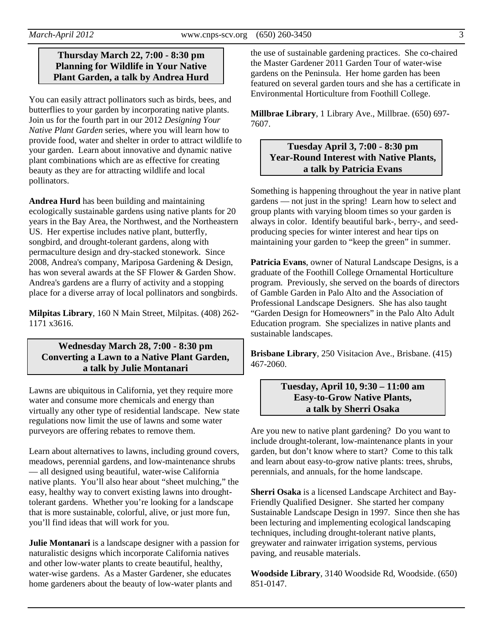## **Thursday March 22, 7:00 - 8:30 pm Planning for Wildlife in Your Native Plant Garden, a talk by Andrea Hurd**

You can easily attract pollinators such as birds, bees, and butterflies to your garden by incorporating native plants. Join us for the fourth part in our 2012 *Designing Your Native Plant Garden* series, where you will learn how to provide food, water and shelter in order to attract wildlife to your garden. Learn about innovative and dynamic native plant combinations which are as effective for creating beauty as they are for attracting wildlife and local pollinators.

**Andrea Hurd** has been building and maintaining ecologically sustainable gardens using native plants for 20 years in the Bay Area, the Northwest, and the Northeastern US. Her expertise includes native plant, butterfly, songbird, and drought-tolerant gardens, along with permaculture design and dry-stacked stonework. Since 2008, Andrea's company, Mariposa Gardening & Design, has won several awards at the SF Flower & Garden Show. Andrea's gardens are a flurry of activity and a stopping place for a diverse array of local pollinators and songbirds.

**Milpitas Library**, 160 N Main Street, Milpitas. (408) 262- 1171 x3616.

# **Wednesday March 28, 7:00 - 8:30 pm Converting a Lawn to a Native Plant Garden, a talk by Julie Montanari**

Lawns are ubiquitous in California, yet they require more water and consume more chemicals and energy than virtually any other type of residential landscape. New state regulations now limit the use of lawns and some water purveyors are offering rebates to remove them.

Learn about alternatives to lawns, including ground covers, meadows, perennial gardens, and low-maintenance shrubs — all designed using beautiful, water-wise California native plants. You'll also hear about "sheet mulching," the easy, healthy way to convert existing lawns into droughttolerant gardens. Whether you're looking for a landscape that is more sustainable, colorful, alive, or just more fun, you'll find ideas that will work for you.

**Julie Montanari** is a landscape designer with a passion for naturalistic designs which incorporate California natives and other low-water plants to create beautiful, healthy, water-wise gardens. As a Master Gardener, she educates home gardeners about the beauty of low-water plants and

the use of sustainable gardening practices. She co-chaired the Master Gardener 2011 Garden Tour of water-wise gardens on the Peninsula. Her home garden has been featured on several garden tours and she has a certificate in Environmental Horticulture from Foothill College.

**Millbrae Library**, 1 Library Ave., Millbrae. (650) 697- 7607.

# **Tuesday April 3, 7:00 - 8:30 pm Year-Round Interest with Native Plants, a talk by Patricia Evans**

Something is happening throughout the year in native plant gardens — not just in the spring! Learn how to select and group plants with varying bloom times so your garden is always in color. Identify beautiful bark-, berry-, and seedproducing species for winter interest and hear tips on maintaining your garden to "keep the green" in summer.

**Patricia Evans**, owner of Natural Landscape Designs, is a graduate of the Foothill College Ornamental Horticulture program. Previously, she served on the boards of directors of Gamble Garden in Palo Alto and the Association of Professional Landscape Designers. She has also taught "Garden Design for Homeowners" in the Palo Alto Adult Education program. She specializes in native plants and sustainable landscapes.

**Brisbane Library**, 250 Visitacion Ave., Brisbane. (415) 467-2060.

#### **Tuesday, April 10, 9:30 – 11:00 am Easy-to-Grow Native Plants, a talk by Sherri Osaka**

Are you new to native plant gardening? Do you want to include drought-tolerant, low-maintenance plants in your garden, but don't know where to start? Come to this talk and learn about easy-to-grow native plants: trees, shrubs, perennials, and annuals, for the home landscape.

**Sherri Osaka** is a licensed Landscape Architect and Bay-Friendly Qualified Designer. She started her company Sustainable Landscape Design in 1997. Since then she has been lecturing and implementing ecological landscaping techniques, including drought-tolerant native plants, greywater and rainwater irrigation systems, pervious paving, and reusable materials.

**Woodside Library**, 3140 Woodside Rd, Woodside. (650) 851-0147.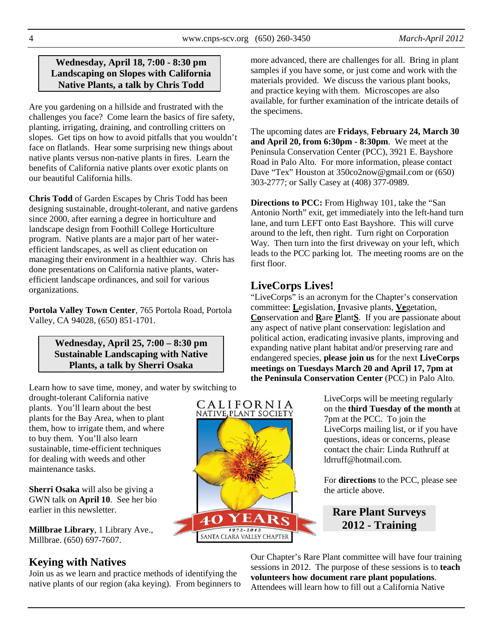# **Wednesday, April 18, 7:00 - 8:30 pm Landscaping on Slopes with California Native Plants, a talk by Chris Todd**

Are you gardening on a hillside and frustrated with the challenges you face? Come learn the basics of fire safety, planting, irrigating, draining, and controlling critters on slopes. Get tips on how to avoid pitfalls that you wouldn't face on flatlands. Hear some surprising new things about native plants versus non-native plants in fires. Learn the benefits of California native plants over exotic plants on our beautiful California hills.

**Chris Todd** of Garden Escapes by Chris Todd has been designing sustainable, drought-tolerant, and native gardens since 2000, after earning a degree in horticulture and landscape design from Foothill College Horticulture program. Native plants are a major part of her waterefficient landscapes, as well as client education on managing their environment in a healthier way. Chris has done presentations on California native plants, waterefficient landscape ordinances, and soil for various organizations.

**Portola Valley Town Center**, 765 Portola Road, Portola Valley, CA 94028, (650) 851-1701.

# **Wednesday, April 25, 7:00 – 8:30 pm Sustainable Landscaping with Native Plants, a talk by Sherri Osaka**

Learn how to save time, money, and water by switching to

drought-tolerant California native plants. You'll learn about the best plants for the Bay Area, when to plant them, how to irrigate them, and where to buy them. You'll also learn sustainable, time-efficient techniques for dealing with weeds and other maintenance tasks.

**Sherri Osaka** will also be giving a GWN talk on **April 10**. See her bio earlier in this newsletter.

**Millbrae Library**, 1 Library Ave., Millbrae. (650) 697-7607.

# **Keying with Natives**

Join us as we learn and practice methods of identifying the native plants of our region (aka keying). From beginners to more advanced, there are challenges for all. Bring in plant samples if you have some, or just come and work with the materials provided. We discuss the various plant books, and practice keying with them. Microscopes are also available, for further examination of the intricate details of the specimens.

The upcoming dates are **Fridays**, **February 24, March 30 and April 20, from 6:30pm - 8:30pm**. We meet at the Peninsula Conservation Center (PCC), 3921 E. Bayshore Road in Palo Alto. For more information, please contact Dave "Tex" Houston at 350co2now@gmail.com or (650) 303-2777; or Sally Casey at (408) 377-0989.

**Directions to PCC:** From Highway 101, take the "San Antonio North" exit, get immediately into the left-hand turn lane, and turn LEFT onto East Bayshore. This will curve around to the left, then right. Turn right on Corporation Way. Then turn into the first driveway on your left, which leads to the PCC parking lot. The meeting rooms are on the first floor.

# **LiveCorps Lives!**

"LiveCorps" is an acronym for the Chapter's conservation committee: **L**egislation, **I**nvasive plants, **Ve**getation, **Co**nservation and **R**are **P**lant**S**. If you are passionate about any aspect of native plant conservation: legislation and political action, eradicating invasive plants, improving and expanding native plant habitat and/or preserving rare and endangered species, **please join us** for the next **LiveCorps meetings on Tuesdays March 20 and April 17, 7pm at the Peninsula Conservation Center** (PCC) in Palo Alto.

> LiveCorps will be meeting regularly on the **third Tuesday of the month** at 7pm at the PCC. To join the LiveCorps mailing list, or if you have questions, ideas or concerns, please contact the chair: Linda Ruthruff at ldrruff@hotmail.com.

For **directions** to the PCC, please see the article above.

# **Rare Plant Surveys 2012 - Training**

Our Chapter's Rare Plant committee will have four training sessions in 2012. The purpose of these sessions is to **teach volunteers how document rare plant populations**. Attendees will learn how to fill out a California Native

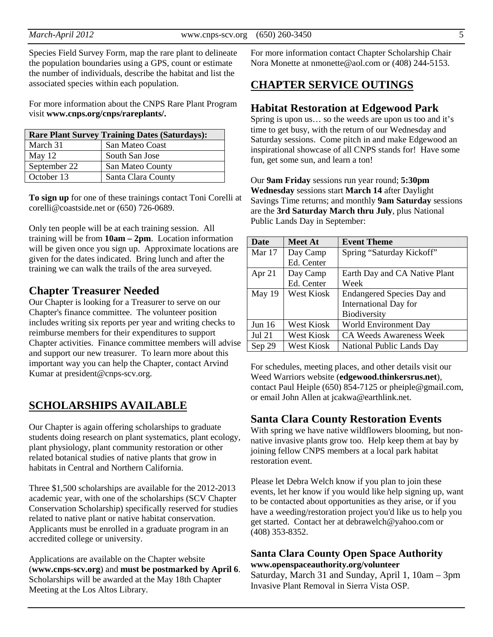Species Field Survey Form, map the rare plant to delineate the population boundaries using a GPS, count or estimate the number of individuals, describe the habitat and list the associated species within each population.

For more information about the CNPS Rare Plant Program visit **www.cnps.org/cnps/rareplants/.**

| <b>Rare Plant Survey Training Dates (Saturdays):</b> |                    |  |  |
|------------------------------------------------------|--------------------|--|--|
| March 31                                             | San Mateo Coast    |  |  |
| May $12$                                             | South San Jose     |  |  |
| September 22                                         | San Mateo County   |  |  |
| October 13                                           | Santa Clara County |  |  |

**To sign up** for one of these trainings contact Toni Corelli at corelli@coastside.net or (650) 726-0689.

Only ten people will be at each training session. All training will be from **10am – 2pm**. Location information will be given once you sign up. Approximate locations are given for the dates indicated. Bring lunch and after the training we can walk the trails of the area surveyed.

# **Chapter Treasurer Needed**

Our Chapter is looking for a Treasurer to serve on our Chapter's finance committee. The volunteer position includes writing six reports per year and writing checks to reimburse members for their expenditures to support Chapter activities. Finance committee members will advise and support our new treasurer. To learn more about this important way you can help the Chapter, contact Arvind Kumar at president@cnps-scv.org.

# **SCHOLARSHIPS AVAILABLE**

Our Chapter is again offering scholarships to graduate students doing research on plant systematics, plant ecology, plant physiology, plant community restoration or other related botanical studies of native plants that grow in habitats in Central and Northern California.

Three \$1,500 scholarships are available for the 2012-2013 academic year, with one of the scholarships (SCV Chapter Conservation Scholarship) specifically reserved for studies related to native plant or native habitat conservation. Applicants must be enrolled in a graduate program in an accredited college or university.

Applications are available on the Chapter website (**www.cnps-scv.org**) and **must be postmarked by April 6**. Scholarships will be awarded at the May 18th Chapter Meeting at the Los Altos Library.

For more information contact Chapter Scholarship Chair Nora Monette at nmonette@aol.com or (408) 244-5153.

# **CHAPTER SERVICE OUTINGS**

#### **Habitat Restoration at Edgewood Park**

Spring is upon us… so the weeds are upon us too and it's time to get busy, with the return of our Wednesday and Saturday sessions. Come pitch in and make Edgewood an inspirational showcase of all CNPS stands for! Have some fun, get some sun, and learn a ton!

Our **9am Friday** sessions run year round; **5:30pm Wednesday** sessions start **March 14** after Daylight Savings Time returns; and monthly **9am Saturday** sessions are the **3rd Saturday March thru July**, plus National Public Lands Day in September:

| <b>Date</b>   | <b>Meet At</b>    | <b>Event Theme</b>                |
|---------------|-------------------|-----------------------------------|
| Mar 17        | Day Camp          | Spring "Saturday Kickoff"         |
|               | Ed. Center        |                                   |
| Apr $21$      | Day Camp          | Earth Day and CA Native Plant     |
|               | Ed. Center        | Week                              |
| May $19$      | <b>West Kiosk</b> | <b>Endangered Species Day and</b> |
|               |                   | <b>International Day for</b>      |
|               |                   | Biodiversity                      |
| Jun $16$      | West Kiosk        | <b>World Environment Day</b>      |
| <b>Jul 21</b> | West Kiosk        | <b>CA Weeds Awareness Week</b>    |
| Sep 29        | West Kiosk        | <b>National Public Lands Day</b>  |

For schedules, meeting places, and other details visit our Weed Warriors website (**edgewood.thinkersrus.net**), contact Paul Heiple (650) 854-7125 or pheiple@gmail.com, or email John Allen at jcakwa@earthlink.net.

#### **Santa Clara County Restoration Events**

With spring we have native wildflowers blooming, but nonnative invasive plants grow too. Help keep them at bay by joining fellow CNPS members at a local park habitat restoration event.

Please let Debra Welch know if you plan to join these events, let her know if you would like help signing up, want to be contacted about opportunities as they arise, or if you have a weeding/restoration project you'd like us to help you get started. Contact her at debrawelch@yahoo.com or (408) 353-8352.

#### **Santa Clara County Open Space Authority www.openspaceauthority.org/volunteer**

Saturday, March 31 and Sunday, April 1, 10am – 3pm Invasive Plant Removal in Sierra Vista OSP.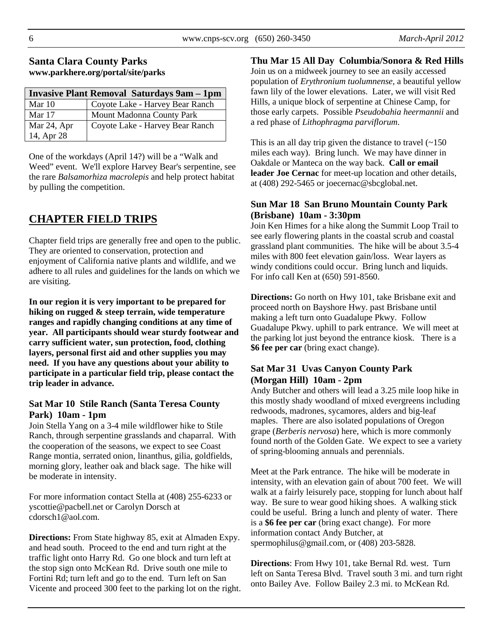# **Santa Clara County Parks www.parkhere.org/portal/site/parks**

| <b>Invasive Plant Removal Saturdays 9am - 1pm</b> |                                 |  |  |
|---------------------------------------------------|---------------------------------|--|--|
| Mar $10$                                          | Coyote Lake - Harvey Bear Ranch |  |  |
| Mar 17                                            | Mount Madonna County Park       |  |  |
| Mar 24, Apr                                       | Coyote Lake - Harvey Bear Ranch |  |  |
| 14, Apr 28                                        |                                 |  |  |

One of the workdays (April 14?) will be a "Walk and Weed" event. We'll explore Harvey Bear's serpentine, see the rare *Balsamorhiza macrolepis* and help protect habitat by pulling the competition.

# **CHAPTER FIELD TRIPS**

Chapter field trips are generally free and open to the public. They are oriented to conservation, protection and enjoyment of California native plants and wildlife, and we adhere to all rules and guidelines for the lands on which we are visiting.

**In our region it is very important to be prepared for hiking on rugged & steep terrain, wide temperature ranges and rapidly changing conditions at any time of year. All participants should wear sturdy footwear and carry sufficient water, sun protection, food, clothing layers, personal first aid and other supplies you may need. If you have any questions about your ability to participate in a particular field trip, please contact the trip leader in advance.** 

#### **Sat Mar 10 Stile Ranch (Santa Teresa County Park) 10am - 1pm**

Join Stella Yang on a 3-4 mile wildflower hike to Stile Ranch, through serpentine grasslands and chaparral. With the cooperation of the seasons, we expect to see Coast Range montia, serrated onion, linanthus, gilia, goldfields, morning glory, leather oak and black sage. The hike will be moderate in intensity.

For more information contact Stella at (408) 255-6233 or yscottie@pacbell.net or Carolyn Dorsch at cdorsch1@aol.com.

**Directions:** From State highway 85, exit at Almaden Expy. and head south. Proceed to the end and turn right at the traffic light onto Harry Rd. Go one block and turn left at the stop sign onto McKean Rd. Drive south one mile to Fortini Rd; turn left and go to the end. Turn left on San Vicente and proceed 300 feet to the parking lot on the right.

#### **Thu Mar 15 All Day Columbia/Sonora & Red Hills**

Join us on a midweek journey to see an easily accessed population of *Erythronium tuolumnense*, a beautiful yellow fawn lily of the lower elevations. Later, we will visit Red Hills, a unique block of serpentine at Chinese Camp, for those early carpets. Possible *Pseudobahia heermannii* and a red phase of *Lithophragma parviflorum*.

This is an all day trip given the distance to travel  $(\sim 150$ miles each way). Bring lunch. We may have dinner in Oakdale or Manteca on the way back. **Call or email leader Joe Cernac** for meet-up location and other details, at (408) 292-5465 or joecernac@sbcglobal.net.

#### **Sun Mar 18 San Bruno Mountain County Park (Brisbane) 10am - 3:30pm**

Join Ken Himes for a hike along the Summit Loop Trail to see early flowering plants in the coastal scrub and coastal grassland plant communities. The hike will be about 3.5-4 miles with 800 feet elevation gain/loss. Wear layers as windy conditions could occur. Bring lunch and liquids. For info call Ken at (650) 591-8560.

**Directions:** Go north on Hwy 101, take Brisbane exit and proceed north on Bayshore Hwy. past Brisbane until making a left turn onto Guadalupe Pkwy. Follow Guadalupe Pkwy. uphill to park entrance. We will meet at the parking lot just beyond the entrance kiosk. There is a **\$6 fee per car** (bring exact change).

# **Sat Mar 31 Uvas Canyon County Park (Morgan Hill) 10am - 2pm**

Andy Butcher and others will lead a 3.25 mile loop hike in this mostly shady woodland of mixed evergreens including redwoods, madrones, sycamores, alders and big-leaf maples. There are also isolated populations of Oregon grape (*Berberis nervosa*) here, which is more commonly found north of the Golden Gate. We expect to see a variety of spring-blooming annuals and perennials.

Meet at the Park entrance. The hike will be moderate in intensity, with an elevation gain of about 700 feet. We will walk at a fairly leisurely pace, stopping for lunch about half way. Be sure to wear good hiking shoes. A walking stick could be useful. Bring a lunch and plenty of water. There is a **\$6 fee per car** (bring exact change). For more information contact Andy Butcher, at spermophilus@gmail.com, or (408) 203-5828.

**Directions**: From Hwy 101, take Bernal Rd. west. Turn left on Santa Teresa Blvd. Travel south 3 mi. and turn right onto Bailey Ave. Follow Bailey 2.3 mi. to McKean Rd.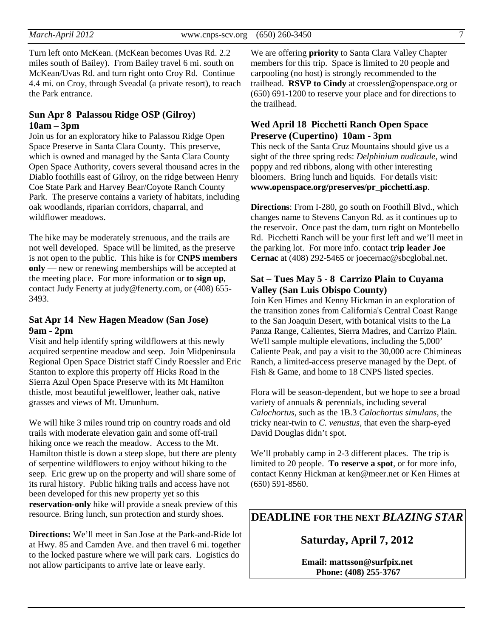Turn left onto McKean. (McKean becomes Uvas Rd. 2.2 miles south of Bailey). From Bailey travel 6 mi. south on McKean/Uvas Rd. and turn right onto Croy Rd. Continue 4.4 mi. on Croy, through Sveadal (a private resort), to reach the Park entrance.

#### **Sun Apr 8 Palassou Ridge OSP (Gilroy) 10am – 3pm**

Join us for an exploratory hike to Palassou Ridge Open Space Preserve in Santa Clara County. This preserve, which is owned and managed by the Santa Clara County Open Space Authority, covers several thousand acres in the Diablo foothills east of Gilroy, on the ridge between Henry Coe State Park and Harvey Bear/Coyote Ranch County Park. The preserve contains a variety of habitats, including oak woodlands, riparian corridors, chaparral, and wildflower meadows.

The hike may be moderately strenuous, and the trails are not well developed. Space will be limited, as the preserve is not open to the public. This hike is for **CNPS members only** — new or renewing memberships will be accepted at the meeting place. For more information or **to sign up**, contact Judy Fenerty at judy@fenerty.com, or (408) 655- 3493.

#### **Sat Apr 14 New Hagen Meadow (San Jose) 9am - 2pm**

Visit and help identify spring wildflowers at this newly acquired serpentine meadow and seep. Join Midpeninsula Regional Open Space District staff Cindy Roessler and Eric Stanton to explore this property off Hicks Road in the Sierra Azul Open Space Preserve with its Mt Hamilton thistle, most beautiful jewelflower, leather oak, native grasses and views of Mt. Umunhum.

We will hike 3 miles round trip on country roads and old trails with moderate elevation gain and some off-trail hiking once we reach the meadow. Access to the Mt. Hamilton thistle is down a steep slope, but there are plenty of serpentine wildflowers to enjoy without hiking to the seep. Eric grew up on the property and will share some of its rural history. Public hiking trails and access have not been developed for this new property yet so this **reservation-only** hike will provide a sneak preview of this resource. Bring lunch, sun protection and sturdy shoes.

**Directions:** We'll meet in San Jose at the Park-and-Ride lot at Hwy. 85 and Camden Ave. and then travel 6 mi. together to the locked pasture where we will park cars. Logistics do not allow participants to arrive late or leave early.

We are offering **priority** to Santa Clara Valley Chapter members for this trip. Space is limited to 20 people and carpooling (no host) is strongly recommended to the trailhead. **RSVP to Cindy** at croessler@openspace.org or (650) 691-1200 to reserve your place and for directions to the trailhead.

#### **Wed April 18 Picchetti Ranch Open Space Preserve (Cupertino) 10am - 3pm**

This neck of the Santa Cruz Mountains should give us a sight of the three spring reds: *Delphinium nudicaule*, wind poppy and red ribbons, along with other interesting bloomers. Bring lunch and liquids. For details visit: **www.openspace.org/preserves/pr\_picchetti.asp**.

**Directions**: From I-280, go south on Foothill Blvd., which changes name to Stevens Canyon Rd. as it continues up to the reservoir. Once past the dam, turn right on Montebello Rd. Picchetti Ranch will be your first left and we'll meet in the parking lot. For more info. contact **trip leader Joe Cernac** at (408) 292-5465 or joecernac@sbcglobal.net.

#### **Sat – Tues May 5 - 8 Carrizo Plain to Cuyama Valley (San Luis Obispo County)**

Join Ken Himes and Kenny Hickman in an exploration of the transition zones from California's Central Coast Range to the San Joaquin Desert, with botanical visits to the La Panza Range, Calientes, Sierra Madres, and Carrizo Plain. We'll sample multiple elevations, including the 5,000' Caliente Peak, and pay a visit to the 30,000 acre Chimineas Ranch, a limited-access preserve managed by the Dept. of Fish & Game, and home to 18 CNPS listed species.

Flora will be season-dependent, but we hope to see a broad variety of annuals & perennials, including several *Calochortus*, such as the 1B.3 *Calochortus simulans*, the tricky near-twin to *C. venustus*, that even the sharp-eyed David Douglas didn't spot.

We'll probably camp in 2-3 different places. The trip is limited to 20 people. **To reserve a spot**, or for more info, contact Kenny Hickman at ken@meer.net or Ken Himes at (650) 591-8560.

**DEADLINE FOR THE NEXT** *BLAZING STAR* 

**Saturday, April 7, 2012** 

**Email: mattsson@surfpix.net Phone: (408) 255-3767**